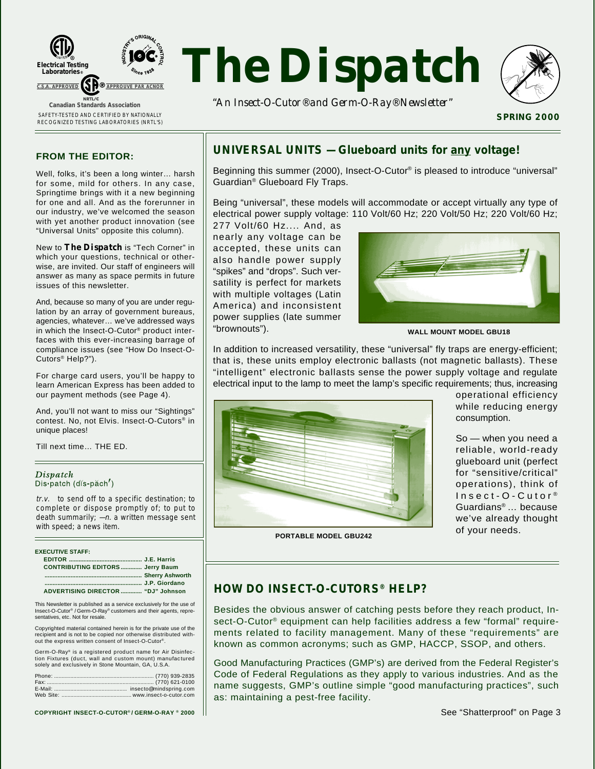



*"An Insect-O-Cutor® and Germ-O-Ray® Newsletter"*



**SPRING 2000**

### **FROM THE EDITOR:**

Well, folks, it's been a long winter… harsh for some, mild for others. In any case, Springtime brings with it a new beginning for one and all. And as the forerunner in our industry, we've welcomed the season with yet another product innovation (see "Universal Units" opposite this column).

New to *The Dispatch* is "Tech Corner" in which your questions, technical or otherwise, are invited. Our staff of engineers will answer as many as space permits in future issues of this newsletter.

And, because so many of you are under regulation by an array of government bureaus, agencies, whatever… we've addressed ways in which the Insect-O-Cutor® product interfaces with this ever-increasing barrage of compliance issues (see "How Do Insect-O-Cutors® Help?").

For charge card users, you'll be happy to learn American Express has been added to our payment methods (see Page 4).

And, you'll not want to miss our "Sightings" contest. No, not Elvis. Insect-O-Cutors® in unique places!

Till next time… THE ED.

#### Dispatch Dis patch (dis-păch')

tr.v. to send off to a specific destination; to complete or dispose promptly of; to put to death summarily;  $-n$ . a written message sent with speed; a news item.

| <b>EXECUTIVE STAFF:</b>                |  |
|----------------------------------------|--|
|                                        |  |
| <b>CONTRIBUTING EDITORS Jerry Baum</b> |  |
|                                        |  |
|                                        |  |
| ADVERTISING DIRECTOR  "DJ" Johnson     |  |

This Newsletter is published as a service exclusively for the use of Insect-O-Cutor® / Germ-O-Ray® customers and their agents, representatives, etc. Not for resale.

Copyrighted material contained herein is for the private use of the recipient and is not to be copied nor otherwise distributed without the express written consent of Insect-O-Cutor

Germ-O-Ray® is a registered product name for Air Disinfection Fixtures (duct, wall and custom mount) manufactured solely and exclusively in Stone Mountain, GA, U.S.A.

**COPYRIGHT INSECT-O-CUTOR® / GERM-O-RAY ® 2000**

## **UNIVERSAL UNITS — Glueboard units for any voltage!**

Beginning this summer (2000), Insect-O-Cutor® is pleased to introduce "universal" Guardian® Glueboard Fly Traps.

Being "universal", these models will accommodate or accept virtually any type of electrical power supply voltage: 110 Volt/60 Hz; 220 Volt/50 Hz; 220 Volt/60 Hz;

277 Volt/60 Hz.... And, as nearly any voltage can be accepted, these units can also handle power supply "spikes" and "drops". Such versatility is perfect for markets with multiple voltages (Latin America) and inconsistent power supplies (late summer "brownouts").



**WALL MOUNT MODEL GBU18**

In addition to increased versatility, these "universal" fly traps are energy-efficient; that is, these units employ electronic ballasts (not magnetic ballasts). These "intelligent" electronic ballasts sense the power supply voltage and regulate electrical input to the lamp to meet the lamp's specific requirements; thus, increasing



operational efficiency while reducing energy consumption.

So — when you need a reliable, world-ready glueboard unit (perfect for "sensitive/critical" operations), think of Insect-O-Cutor<sup>®</sup> Guardians® … because we've already thought of your needs.

**PORTABLE MODEL GBU242**

## **HOW DO INSECT-O-CUTORS® HELP?**

Besides the obvious answer of catching pests before they reach product, Insect-O-Cutor® equipment can help facilities address a few "formal" requirements related to facility management. Many of these "requirements" are known as common acronyms; such as GMP, HACCP, SSOP, and others.

Good Manufacturing Practices (GMP's) are derived from the Federal Register's Code of Federal Regulations as they apply to various industries. And as the name suggests, GMP's outline simple "good manufacturing practices", such as: maintaining a pest-free facility.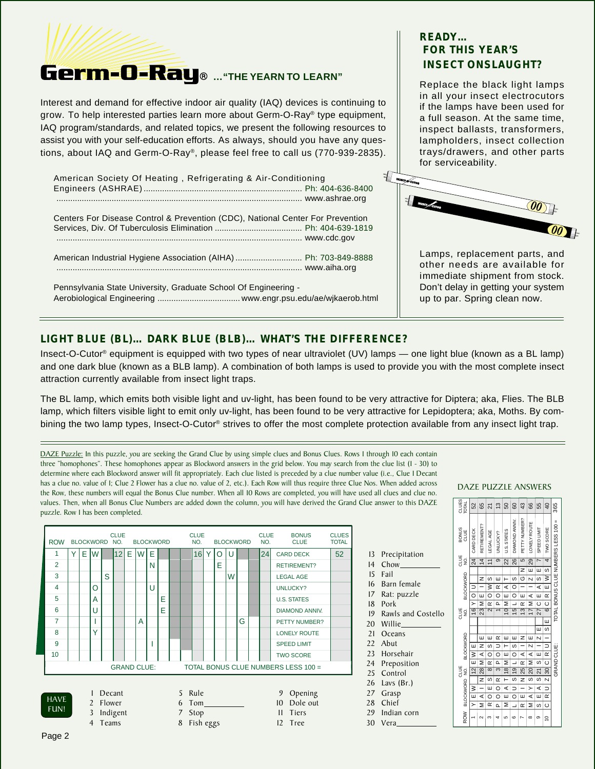

Interest and demand for effective indoor air quality (IAQ) devices is continuing to grow. To help interested parties learn more about Germ-O-Ray® type equipment, IAQ program/standards, and related topics, we present the following resources to assist you with your self-education efforts. As always, should you have any questions, about IAQ and Germ-O-Ray®, please feel free to call us (770-939-2835).

| American Society Of Heating, Refrigerating & Air-Conditioning                  |  |
|--------------------------------------------------------------------------------|--|
| Centers For Disease Control & Prevention (CDC), National Center For Prevention |  |
| American Industrial Hygiene Association (AIHA) Ph: 703-849-8888                |  |
| Pennsylvania State University, Graduate School Of Engineering -                |  |

## **READY… FOR THIS YEAR'S INSECT ONSLAUGHT?**

Replace the black light lamps in all your insect electrocutors if the lamps have been used for a full season. At the same time, inspect ballasts, transformers, lampholders, insect collection trays/drawers, and other parts for serviceability.



Lamps, replacement parts, and other needs are available for immediate shipment from stock. Don't delay in getting your system up to par. Spring clean now.

## **LIGHT BLUE (BL)… DARK BLUE (BLB)… WHAT'S THE DIFFERENCE?**

Insect-O-Cutor® equipment is equipped with two types of near ultraviolet (UV) lamps — one light blue (known as a BL lamp) and one dark blue (known as a BLB lamp). A combination of both lamps is used to provide you with the most complete insect attraction currently available from insect light traps.

The BL lamp, which emits both visible light and uv-light, has been found to be very attractive for Diptera; aka, Flies. The BLB lamp, which filters visible light to emit only uv-light, has been found to be very attractive for Lepidoptera; aka, Moths. By combining the two lamp types, Insect-O-Cutor<sup>®</sup> strives to offer the most complete protection available from any insect light trap.

DAZE Puzzle: In this puzzle, you are seeking the Grand Clue by using simple clues and Bonus Clues. Rows 1 through 10 each contain three "homophones". These homophones appear as Blockword answers in the grid below. You may search from the clue list (1 - 30) to determine where each Blockword answer will fit appropriately. Each clue listed is preceded by a clue number value (i.e., Clue 1 Decant has a clue no. value of 1; Clue 2 Flower has a clue no. value of 2, etc.). Each Row will thus require three Clue Nos. When added across the Row, these numbers will equal the Bonus Clue number. When all 10 Rows are completed, you will have used all clues and clue no. values. Then, when all Bonus Clue Numbers are added down the column, you will have derived the Grand Clue answer to this DAZE puzzle. Row 1 has been completed.

| <b>ROW</b>                                                                                                                                                                                          |   |   | <b>BLOCKWORD</b> |   | <b>CLUE</b><br>NO. |   | <b>BLOCKWORD</b>   |   |   |  |  | <b>CLUE</b><br>NO. |   |   | <b>BLOCKWORD</b> |   | <b>CLUE</b><br>NO. | <b>BONUS</b><br><b>CLUE</b>         | <b>CLUES</b><br><b>TOTAL</b> |
|-----------------------------------------------------------------------------------------------------------------------------------------------------------------------------------------------------|---|---|------------------|---|--------------------|---|--------------------|---|---|--|--|--------------------|---|---|------------------|---|--------------------|-------------------------------------|------------------------------|
| 1                                                                                                                                                                                                   | Y | E | W                |   | 12                 | E | W                  | E |   |  |  | 16                 | Y | O | U                |   | 24                 | <b>CARD DECK</b>                    | 52                           |
| $\overline{2}$                                                                                                                                                                                      |   |   |                  |   |                    |   |                    | N |   |  |  |                    |   | E |                  |   |                    | <b>RETIREMENT?</b>                  |                              |
| 3                                                                                                                                                                                                   |   |   |                  | S |                    |   |                    |   |   |  |  |                    |   |   | W                |   |                    | <b>LEGAL AGE</b>                    |                              |
| $\overline{4}$                                                                                                                                                                                      |   |   | O                |   |                    |   |                    | U |   |  |  |                    |   |   |                  |   |                    | <b>UNLUCKY?</b>                     |                              |
| 5                                                                                                                                                                                                   |   |   | A                |   |                    |   |                    |   | E |  |  |                    |   |   |                  |   |                    | <b>U.S. STATES</b>                  |                              |
| 6                                                                                                                                                                                                   |   |   | U                |   |                    |   |                    |   | F |  |  |                    |   |   |                  |   |                    | <b>DIAMOND ANNIV.</b>               |                              |
| 7                                                                                                                                                                                                   |   |   |                  |   |                    |   | A                  |   |   |  |  |                    |   |   |                  | G |                    | <b>PETTY NUMBER?</b>                |                              |
| 8                                                                                                                                                                                                   |   |   | Υ                |   |                    |   |                    |   |   |  |  |                    |   |   |                  |   |                    | <b>LONELY ROUTE</b>                 |                              |
| 9                                                                                                                                                                                                   |   |   |                  |   |                    |   |                    |   |   |  |  |                    |   |   |                  |   |                    | <b>SPEED LIMIT</b>                  |                              |
| 10                                                                                                                                                                                                  |   |   |                  |   |                    |   |                    |   |   |  |  |                    |   |   |                  |   |                    | <b>TWO SCORE</b>                    |                              |
|                                                                                                                                                                                                     |   |   |                  |   |                    |   | <b>GRAND CLUE:</b> |   |   |  |  |                    |   |   |                  |   |                    | TOTAL BONUS CLUE NUMBERS LESS 100 = |                              |
| Rule<br>Decant<br>5<br>Opening<br>9<br><b>HAVE</b><br>Dole out<br>Flower<br>2<br>Tom<br>10<br>6<br>FUN!<br>Indigent<br>3<br>Stop<br>Tiers<br>Ш<br>Fish eggs<br><b>Teams</b><br>8<br>Tree<br>12<br>4 |   |   |                  |   |                    |   |                    |   |   |  |  |                    |   |   |                  |   |                    |                                     |                              |

|    |                    | 요궁               | CARD DE        | RETIREN        | LEGAL A                 | <b>UNLUCK</b>       |  |
|----|--------------------|------------------|----------------|----------------|-------------------------|---------------------|--|
| 13 | Precipitation      |                  |                |                |                         | $\overline{\sigma}$ |  |
| 4  | Chow               | 발g<br>2          | $\overline{4}$ | $\overline{4}$ | $\overline{1}$          |                     |  |
| 15 | Fail               |                  |                | z              | S                       | ш                   |  |
| 16 | Barn female        |                  | ⊃              |                | ≷                       | $\propto$           |  |
| 17 | Rat: puzzle        | <b>3LOCKWORD</b> | $\circ$        | ш              | O                       | $\circ$             |  |
| 18 | Pork               |                  | $\geq$         | Σ              | $\propto$               | Δ.                  |  |
| 19 | Rawls and Costello | 발의<br>대          | $\overline{6}$ | 23             | $\overline{\mathsf{N}}$ |                     |  |
| 20 | Willie             |                  |                |                |                         |                     |  |
| 21 | Oceans             |                  |                | ш              | ш                       | $\propto$           |  |
| 22 | Abut               |                  | ш              | z              | S                       | $\Rightarrow$       |  |
|    | 23 Horsehair       | <b>BLOCKWORD</b> | ≷              | ⋖              | O                       | O                   |  |
| 24 | Preposition        |                  | ш              | Σ              | $\simeq$                | Δ.                  |  |
| 25 | Control            | 별g<br>경          | $\overline{2}$ | 28             | $\infty$                | S                   |  |
| 26 | Lavs (Br.)         |                  |                | z              | S                       | $\propto$           |  |
| 27 | Grasp              | <b>BLOCKWORD</b> | $\geq$         |                | ш                       | O                   |  |
| 28 | Chief              |                  | ш              | ⋖              | O                       | O                   |  |
|    |                    |                  | $\rightarrow$  | Σ              | œ                       | $\sim$              |  |
| 29 | Indian corn        | ≷                |                |                |                         |                     |  |

30 Vera

DAZE PUZZLE ANSWERS

| <b>CLUES</b><br>TOTAL | 52                      | 65                | 21                      | $\frac{3}{2}$             | 50              | 60                    | 43             | 66              | 55              | 40                       | 365                                 |
|-----------------------|-------------------------|-------------------|-------------------------|---------------------------|-----------------|-----------------------|----------------|-----------------|-----------------|--------------------------|-------------------------------------|
| <b>BONUS</b><br>CLUE  | CARD DECK               | RETIREMENT?       | <b>EGALAGE</b>          | JNLUCKY?                  | J.S. STATES     | <b>JIAMOND ANNIV.</b> | PETTY NUMBER?  | ONELY ROUTE     | SPEED LIMIT     | <b>TWO SCORE</b>         | TOTAL BONUS CLUE NUMBERS LESS 100 = |
| CLUE<br>g             | 24                      | $\overline{4}$    | $\overline{1}$          | $\overline{\sigma}$       | $\overline{22}$ | 26                    | $\overline{5}$ | $\overline{29}$ | $\overline{ }$  | 4                        |                                     |
|                       |                         |                   |                         |                           |                 |                       | z              | ш               | ш               | S                        |                                     |
| <b>BLOCKWORD</b>      |                         | z                 | S                       | ш                         | Н               | S                     | O              | N               | S               | ≷                        |                                     |
|                       | $\Rightarrow$           |                   | ⋧                       | $\propto$                 | ⋖               | O                     |                |                 | ⋖               | ш                        |                                     |
|                       | $\frac{1}{2}$           | ш                 | O                       | $\circ$                   | ш               | O                     | ш              | ⋖               | ш               | $\propto$                |                                     |
|                       | $\mathbf{r}$            | Σ                 | $\alpha$                | o.                        | Σ               | ┙                     | $\alpha$       | Σ               | $\circ$         | $\circ$                  |                                     |
| CLUE<br>g             | 16                      | 23                | $\overline{\mathsf{c}}$ | $\overline{\phantom{0}}$  | $\overline{0}$  | $\frac{15}{2}$        | $\frac{3}{2}$  | $\overline{17}$ | 27              | <u>ဖ</u>                 |                                     |
|                       |                         |                   |                         |                           |                 |                       |                |                 |                 | ш                        |                                     |
|                       |                         |                   |                         |                           |                 |                       |                |                 | ш               | S                        |                                     |
| <b>BLOCKWORD</b>      |                         | ш                 | ш                       | $\propto$                 | ш               | ш                     | z              | ш               | N               |                          |                                     |
|                       | ш                       | z                 | S                       | ⊃                         | н               | S                     |                | N               |                 | $\overline{\phantom{1}}$ |                                     |
|                       | $\overline{\mathbf{z}}$ | ⋖                 | O                       | O                         | ш               | $\circ$               | ⋖              | ⋖               | ш               | $\alpha$                 |                                     |
|                       | ш                       | Σ                 | $\alpha$                | d.                        | Σ               | ┙                     | $\propto$      | Σ               | S               | $\circ$                  |                                     |
| CLUE                  | $\overline{2}$          | $\overline{R}$ 28 | $\overline{\infty}$     | $\overline{\mathfrak{c}}$ | $\frac{18}{2}$  | $\overline{9}$        | 25             | $\overline{20}$ | $\overline{21}$ | $\overline{30}$          | GRAND CLUE:                         |
|                       |                         |                   | S                       | $\propto$                 |                 | S                     | z              | ပာ              | S               | $\frac{1}{2}$            |                                     |
| BLOCKWORD NO.         | ≷                       |                   | ш                       | $\circ$                   | ⋖               | ⊃                     |                | ≻               | ⋖               | Ξ                        |                                     |
|                       | ш                       | ⋖                 | O                       | O                         | ш               | O                     | ш              | ⋖               | ш               | $\alpha$                 |                                     |
|                       | $\geq$                  | Σ                 | $\alpha$                | $\alpha$                  | Σ               | J                     | œ              | Σ               | ဖ               | $\circ$                  |                                     |
| <b>ROW</b>            |                         | $\sim$            | c                       | 4                         | 5               | ဖ                     |                | $\infty$        | σ               | $\approx$                |                                     |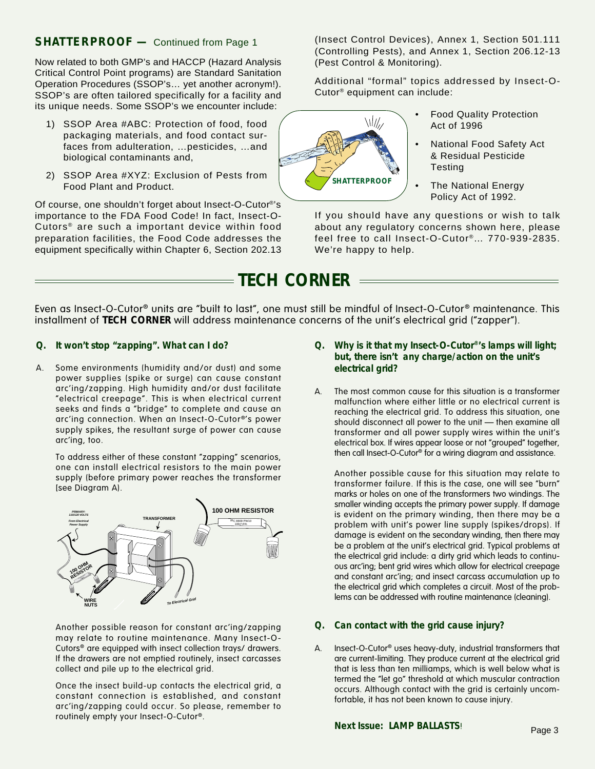Now related to both GMP's and HACCP (Hazard Analysis Critical Control Point programs) are Standard Sanitation Operation Procedures (SSOP's… yet another acronym!). SSOP's are often tailored specifically for a facility and its unique needs. Some SSOP's we encounter include:

- 1) SSOP Area #ABC: Protection of food, food packaging materials, and food contact surfaces from adulteration, …pesticides, …and biological contaminants and,
- 2) SSOP Area #XYZ: Exclusion of Pests from Food Plant and Product.

Of course, one shouldn't forget about Insect-O-Cutor®'s importance to the FDA Food Code! In fact, Insect-O-Cutors® are such a important device within food preparation facilities, the Food Code addresses the equipment specifically within Chapter 6, Section 202.13

**SHATTERPROOF -** Continued from Page 1 (Insect Control Devices), Annex 1, Section 501.111 (Controlling Pests), and Annex 1, Section 206.12-13 (Pest Control & Monitoring).

> Additional "formal" topics addressed by Insect-O-Cutor® equipment can include:



- Food Quality Protection Act of 1996
- National Food Safety Act & Residual Pesticide **Testing**
- The National Energy Policy Act of 1992.

If you should have any questions or wish to talk about any regulatory concerns shown here, please feel free to call Insect-O-Cutor®… 770-939-2835. We're happy to help.

# **TECH CORNER**

Even as Insect-O-Cutor® units are "built to last", one must still be mindful of Insect-O-Cutor® maintenance. This installment of **TECH CORNER** will address maintenance concerns of the unit's electrical grid ("zapper").

- **Q. It won't stop "zapping". What can I do?**
- A. Some environments (humidity and/or dust) and some power supplies (spike or surge) can cause constant arc'ing/zapping. High humidity and/or dust facilitate "electrical creepage". This is when electrical current seeks and finds a "bridge" to complete and cause an arc'ing connection. When an Insect-O-Cutor<sup>®</sup>'s power supply spikes, the resultant surge of power can cause arc'ing, too.

To address either of these constant "zapping" scenarios, one can install electrical resistors to the main power supply (before primary power reaches the transformer [see Diagram A).



Another possible reason for constant arc'ing/zapping may relate to routine maintenance. Many Insect-O-Cutors® are equipped with insect collection trays/ drawers. If the drawers are not emptied routinely, insect carcasses collect and pile up to the electrical grid.

Once the insect build-up contacts the electrical grid, a constant connection is established, and constant arc'ing/zapping could occur. So please, remember to routinely empty your Insect-O-Cutor®.

- **Q. Why is it that my Insect-O-Cutor®'s lamps will light; but, there isn't any charge/action on the unit's electrical grid?**
- A. The most common cause for this situation is a transformer malfunction where either little or no electrical current is reaching the electrical grid. To address this situation, one should disconnect all power to the unit — then examine all transformer and all power supply wires within the unit's electrical box. If wires appear loose or not "grouped" together, then call Insect-O-Cutor® for a wiring diagram and assistance.

Another possible cause for this situation may relate to transformer failure. If this is the case, one will see "burn" marks or holes on one of the transformers two windings. The smaller winding accepts the primary power supply. If damage is evident on the primary winding, then there may be a problem with unit's power line supply (spikes/drops). If damage is evident on the secondary winding, then there may be a problem at the unit's electrical grid. Typical problems at the electrical grid include: a dirty grid which leads to continuous arc'ing; bent grid wires which allow for electrical creepage and constant arc'ing; and insect carcass accumulation up to the electrical grid which completes a circuit. Most of the problems can be addressed with routine maintenance (cleaning).

## **Q. Can contact with the grid cause injury?**

A. Insect-O-Cutor® uses heavy-duty, industrial transformers that are current-limiting. They produce current at the electrical grid that is less than ten milliamps, which is well below what is termed the "let go" threshold at which muscular contraction occurs. Although contact with the grid is certainly uncomfortable, it has not been known to cause injury.

## **Next Issue: LAMP BALLASTS!** Page 3